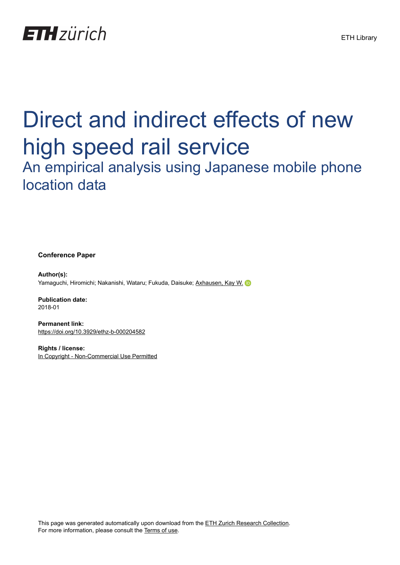

# Direct and indirect effects of new high speed rail service

# An empirical analysis using Japanese mobile phone location data

**Conference Paper**

**Author(s):** Yamaguchi, Hiromichi; Nakanishi, Wataru; Fukuda, Daisuke; [Axhausen, Kay W.](https://orcid.org/0000-0003-3331-1318) D

**Publication date:** 2018-01

**Permanent link:** <https://doi.org/10.3929/ethz-b-000204582>

**Rights / license:** [In Copyright - Non-Commercial Use Permitted](http://rightsstatements.org/page/InC-NC/1.0/)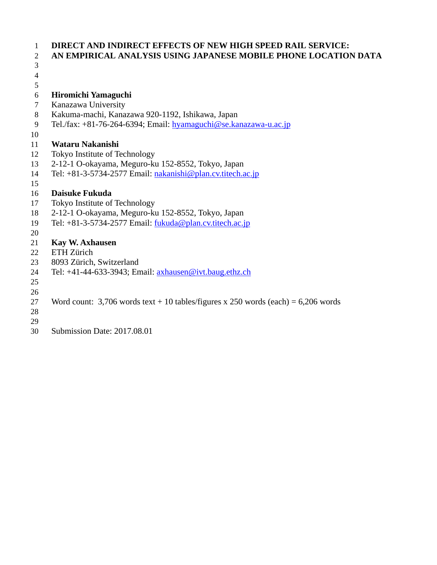| 1              | <b>DIRECT AND INDIRECT EFFECTS OF NEW HIGH SPEED RAIL SERVICE:</b>                  |
|----------------|-------------------------------------------------------------------------------------|
| $\overline{2}$ | AN EMPIRICAL ANALYSIS USING JAPANESE MOBILE PHONE LOCATION DATA                     |
| 3              |                                                                                     |
| $\overline{4}$ |                                                                                     |
| 5              |                                                                                     |
| 6              | Hiromichi Yamaguchi                                                                 |
| 7              | Kanazawa University                                                                 |
| 8              | Kakuma-machi, Kanazawa 920-1192, Ishikawa, Japan                                    |
| 9              | Tel./fax: $+81-76-264-6394$ ; Email: hyamaguchi@se.kanazawa-u.ac.jp                 |
| 10             |                                                                                     |
| 11             | Wataru Nakanishi                                                                    |
| 12             | Tokyo Institute of Technology                                                       |
| 13             | 2-12-1 O-okayama, Meguro-ku 152-8552, Tokyo, Japan                                  |
| 14             | Tel: $+81-3-5734-2577$ Email: $nakanishi@plan.cv.titech.ac.jp$                      |
| 15             |                                                                                     |
| 16             | <b>Daisuke Fukuda</b>                                                               |
| 17             | Tokyo Institute of Technology                                                       |
| 18             | 2-12-1 O-okayama, Meguro-ku 152-8552, Tokyo, Japan                                  |
| 19             | Tel: $+81-3-5734-2577$ Email: $fukuda@plan.cv.titech.ac.jp$                         |
| 20             |                                                                                     |
| 21             | <b>Kay W. Axhausen</b>                                                              |
| 22             | ETH Zürich                                                                          |
| 23             | 8093 Zürich, Switzerland                                                            |
| 24             | Tel: $+41-44-633-3943$ ; Email: $axhausen@ivt.baug.ethz.ch$                         |
| 25             |                                                                                     |
| 26             |                                                                                     |
| 27             | Word count: 3,706 words text + 10 tables/figures x 250 words (each) = $6,206$ words |
| 28             |                                                                                     |

- 
- Submission Date: 2017.08.01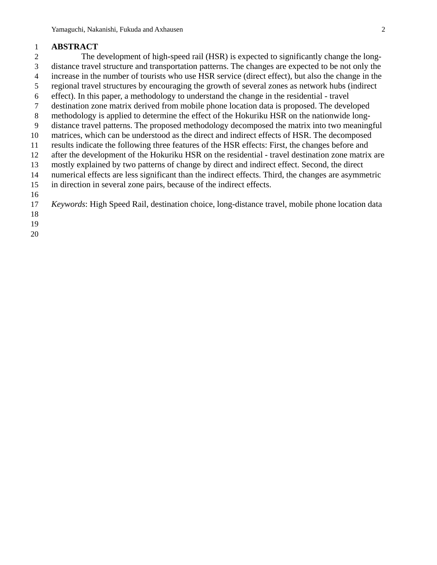### **ABSTRACT**

 The development of high-speed rail (HSR) is expected to significantly change the long- distance travel structure and transportation patterns. The changes are expected to be not only the increase in the number of tourists who use HSR service (direct effect), but also the change in the regional travel structures by encouraging the growth of several zones as network hubs (indirect effect). In this paper, a methodology to understand the change in the residential - travel destination zone matrix derived from mobile phone location data is proposed. The developed methodology is applied to determine the effect of the Hokuriku HSR on the nationwide long- distance travel patterns. The proposed methodology decomposed the matrix into two meaningful matrices, which can be understood as the direct and indirect effects of HSR. The decomposed results indicate the following three features of the HSR effects: First, the changes before and after the development of the Hokuriku HSR on the residential - travel destination zone matrix are mostly explained by two patterns of change by direct and indirect effect. Second, the direct numerical effects are less significant than the indirect effects. Third, the changes are asymmetric in direction in several zone pairs, because of the indirect effects. *Keywords*: High Speed Rail, destination choice, long-distance travel, mobile phone location data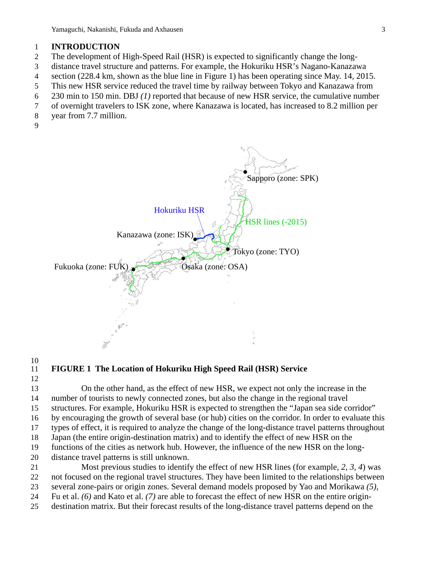### **INTRODUCTION**

- The development of High-Speed Rail (HSR) is expected to significantly change the long-
- distance travel structure and patterns. For example, the Hokuriku HSR's Nagano-Kanazawa
- section (228.4 km, shown as the blue line in Figure 1) has been operating since May. 14, 2015.
- This new HSR service reduced the travel time by railway between Tokyo and Kanazawa from
- 230 min to 150 min. DBJ *(1)* reported that because of new HSR service, the cumulative number
- of overnight travelers to ISK zone, where Kanazawa is located, has increased to 8.2 million per
- year from 7.7 million.
- 



## $\begin{array}{c} 10 \\ 11 \end{array}$

### **FIGURE 1 The Location of Hokuriku High Speed Rail (HSR) Service**

 On the other hand, as the effect of new HSR, we expect not only the increase in the number of tourists to newly connected zones, but also the change in the regional travel structures. For example, Hokuriku HSR is expected to strengthen the "Japan sea side corridor" by encouraging the growth of several base (or hub) cities on the corridor. In order to evaluate this types of effect, it is required to analyze the change of the long-distance travel patterns throughout Japan (the entire origin-destination matrix) and to identify the effect of new HSR on the functions of the cities as network hub. However, the influence of the new HSR on the long- distance travel patterns is still unknown. Most previous studies to identify the effect of new HSR lines (for example, *2, 3, 4*) was

 not focused on the regional travel structures. They have been limited to the relationships between several zone-pairs or origin zones. Several demand models proposed by Yao and Morikawa *(5)*,

Fu et al. *(6)* and Kato et al. *(7)* are able to forecast the effect of new HSR on the entire origin-

destination matrix. But their forecast results of the long-distance travel patterns depend on the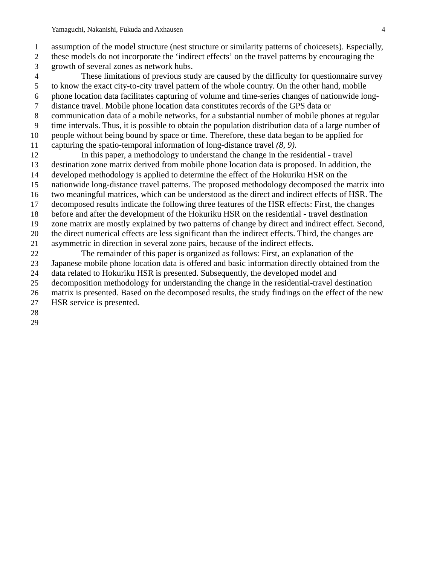assumption of the model structure (nest structure or similarity patterns of choicesets). Especially,

- these models do not incorporate the 'indirect effects' on the travel patterns by encouraging the growth of several zones as network hubs.
- These limitations of previous study are caused by the difficulty for questionnaire survey to know the exact city-to-city travel pattern of the whole country. On the other hand, mobile phone location data facilitates capturing of volume and time-series changes of nationwide long-
- distance travel. Mobile phone location data constitutes records of the GPS data or
- communication data of a mobile networks, for a substantial number of mobile phones at regular
- time intervals. Thus, it is possible to obtain the population distribution data of a large number of
- people without being bound by space or time. Therefore, these data began to be applied for
- capturing the spatio-temporal information of long-distance travel *(8, 9)*.
- In this paper, a methodology to understand the change in the residential travel destination zone matrix derived from mobile phone location data is proposed. In addition, the developed methodology is applied to determine the effect of the Hokuriku HSR on the
- nationwide long-distance travel patterns. The proposed methodology decomposed the matrix into
- two meaningful matrices, which can be understood as the direct and indirect effects of HSR. The
- decomposed results indicate the following three features of the HSR effects: First, the changes
- before and after the development of the Hokuriku HSR on the residential travel destination
- zone matrix are mostly explained by two patterns of change by direct and indirect effect. Second,
- the direct numerical effects are less significant than the indirect effects. Third, the changes are
- asymmetric in direction in several zone pairs, because of the indirect effects.
- The remainder of this paper is organized as follows: First, an explanation of the Japanese mobile phone location data is offered and basic information directly obtained from the data related to Hokuriku HSR is presented. Subsequently, the developed model and
- decomposition methodology for understanding the change in the residential-travel destination
- matrix is presented. Based on the decomposed results, the study findings on the effect of the new
- HSR service is presented.
- 
-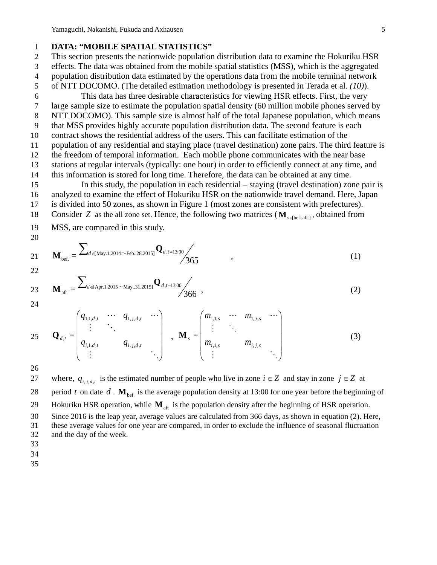### 1 **DATA: "MOBILE SPATIAL STATISTICS"**

 This section presents the nationwide population distribution data to examine the Hokuriku HSR effects. The data was obtained from the mobile spatial statistics (MSS), which is the aggregated population distribution data estimated by the operations data from the mobile terminal network of NTT DOCOMO. (The detailed estimation methodology is presented in Terada et al. *(10)*).

 This data has three desirable characteristics for viewing HSR effects. First, the very large sample size to estimate the population spatial density (60 million mobile phones served by NTT DOCOMO). This sample size is almost half of the total Japanese population, which means that MSS provides highly accurate population distribution data. The second feature is each contract shows the residential address of the users. This can facilitate estimation of the population of any residential and staying place (travel destination) zone pairs. The third feature is the freedom of temporal information. Each mobile phone communicates with the near base stations at regular intervals (typically: one hour) in order to efficiently connect at any time, and

14 this information is stored for long time. Therefore, the data can be obtained at any time. 15 In this study, the population in each residential – staying (travel destination) zone pair is 16 analyzed to examine the effect of Hokuriku HSR on the nationwide travel demand. Here, Japan

17 is divided into 50 zones, as shown in Figure 1 (most zones are consistent with prefectures).

18 Consider *Z* as the all zone set. Hence, the following two matrices ( $\mathbf{M}_{\text{self-aff.1}}$ , obtained from

19 MSS, are compared in this study.

$$
21 \t\t\t M_{\text{bef.}} = \frac{\sum_{d \in [May.1.2014 \sim \text{Feb.}.28.2015]} Q_{d,t=13.00}}{365},
$$
\t(1)

$$
22\quad
$$

20

$$
\mathbf{M}_{\text{aft}} = \frac{\sum_{d \in \text{Apr.1.2015} \sim \text{May.31.2015]}} \mathbf{Q}_{d,t=13.00}}{366},\tag{2}
$$

24

25 
$$
\mathbf{Q}_{d,t} = \begin{pmatrix} q_{1,1,d,t} & \cdots & q_{1,j,d,t} & \cdots \\ \vdots & \ddots & & \\ q_{i,1,d,t} & & q_{i,j,d,t} \\ \vdots & & & \ddots \end{pmatrix}, \quad \mathbf{M}_{s} = \begin{pmatrix} m_{1,1,s} & \cdots & m_{1,j,s} & \cdots \\ \vdots & \ddots & & \\ m_{i,1,s} & & m_{i,j,s} & \\ \vdots & & & \ddots \end{pmatrix}
$$
(3)

26

27 where,  $q_{i,j,d,t}$  is the estimated number of people who live in zone  $i \in \mathbb{Z}$  and stay in zone  $j \in \mathbb{Z}$  at

28 period *t* on date *d*.  $\mathbf{M}_{\text{bef.}}$  is the average population density at 13:00 for one year before the beginning of

29 Hokuriku HSR operation, while  $M_{\text{aff}}$  is the population density after the beginning of HSR operation.

30 Since 2016 is the leap year, average values are calculated from 366 days, as shown in equation (2). Here,

31 these average values for one year are compared, in order to exclude the influence of seasonal fluctuation 32 and the day of the week.

33

34

35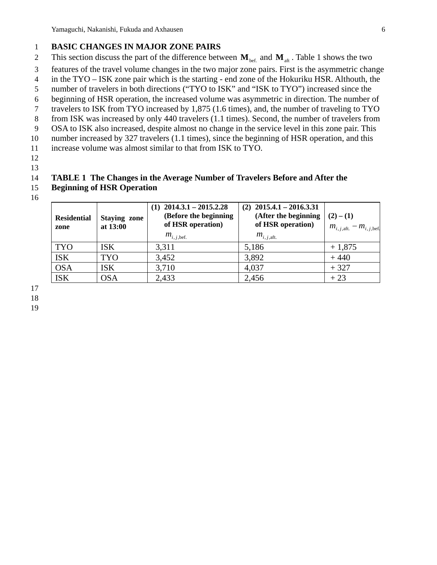### 1 **BASIC CHANGES IN MAJOR ZONE PAIRS**

- 2 This section discuss the part of the difference between  $M_{\text{bef.}}$  and  $M_{\text{aff.}}$  Table 1 shows the two
- 3 features of the travel volume changes in the two major zone pairs. First is the asymmetric change
- 4 in the TYO ISK zone pair which is the starting end zone of the Hokuriku HSR. Althouth, the
- 5 number of travelers in both directions ("TYO to ISK" and "ISK to TYO") increased since the
- 6 beginning of HSR operation, the increased volume was asymmetric in direction. The number of
- 7 travelers to ISK from TYO increased by 1,875 (1.6 times), and, the number of traveling to TYO
- 8 from ISK was increased by only 440 travelers (1.1 times). Second, the number of travelers from
- 9 OSA to ISK also increased, despite almost no change in the service level in this zone pair. This
- 10 number increased by 327 travelers (1.1 times), since the beginning of HSR operation, and this
- 11 increase volume was almost similar to that from ISK to TYO.
- 12
- 13

### 14 **TABLE 1 The Changes in the Average Number of Travelers Before and After the**

- 15 **Beginning of HSR Operation**
- 16

| <b>Residential</b><br>zone | <b>Staying zone</b><br>at 13:00 | $2014.3.1 - 2015.2.28$<br>(1)<br>(Before the beginning<br>of HSR operation)<br>$m_{i, j, \text{bef.}}$ | $(2)$ 2015.4.1 - 2016.3.31<br>(After the beginning<br>of HSR operation)<br>$m_{i,j,\text{aft}}$ | $(2) - (1)$<br>$m_{i, j, \text{aff.}} - m_{i, j, \text{bef.}}$ |
|----------------------------|---------------------------------|--------------------------------------------------------------------------------------------------------|-------------------------------------------------------------------------------------------------|----------------------------------------------------------------|
| <b>TYO</b>                 | <b>ISK</b>                      | 3,311                                                                                                  | 5,186                                                                                           | $+1,875$                                                       |
| <b>ISK</b>                 | <b>TYO</b>                      | 3,452                                                                                                  | 3,892                                                                                           | $+440$                                                         |
| <b>OSA</b>                 | <b>ISK</b>                      | 3,710                                                                                                  | 4,037                                                                                           | $+327$                                                         |
| <b>ISK</b>                 | <b>OSA</b>                      | 2,433                                                                                                  | 2,456                                                                                           | $+23$                                                          |

17

18

19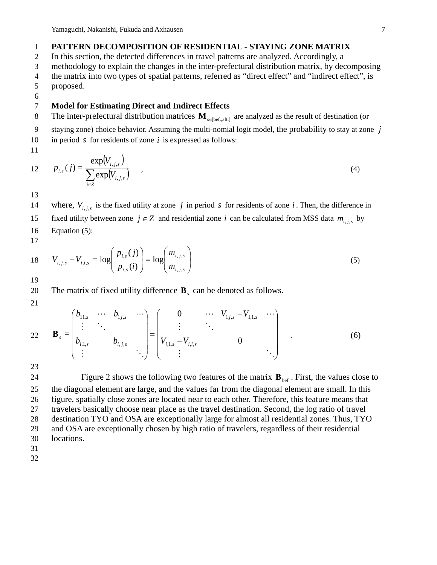### 1 **PATTERN DECOMPOSITION OF RESIDENTIAL - STAYING ZONE MATRIX**

2 In this section, the detected differences in travel patterns are analyzed. Accordingly, a

3 methodology to explain the changes in the inter-prefectural distribution matrix, by decomposing

4 the matrix into two types of spatial patterns, referred as "direct effect" and "indirect effect", is

- 5 proposed.
- 6

### 7 **Model for Estimating Direct and Indirect Effects**

8 The inter-prefectural distribution matrices **M**<sub>s∈[bef.,aft.]</sub> are analyzed as the result of destination (or

9 staying zone) choice behavior. Assuming the multi-nomial logit model, the probability to stay at zone *j*

10 in period *s* for residents of zone *i* is expressed as follows:

11

$$
12 \qquad p_{i,s}(j) = \frac{\exp(V_{i,j,s})}{\sum_{j\in\mathbb{Z}} \exp(V_{i,j,s})} \qquad , \tag{4}
$$

13

14 where,  $V_{i,j,s}$  is the fixed utility at zone *j* in period *s* for residents of zone *i*. Then, the difference in

- fixed utility between zone  $j \in Z$  and residential zone *i* can be calculated from MSS data  $m_{i,j,s}$  by
- 16 Equation (5):
- 17

18 
$$
V_{i,j,s} - V_{i,i,s} = \log \left( \frac{p_{i,s}(j)}{p_{i,s}(i)} \right) = \log \left( \frac{m_{i,j,s}}{m_{i,j,s}} \right)
$$
 (5)

19

20 The matrix of fixed utility difference **B**<sub>*s*</sub> can be denoted as follows.

21

22 
$$
\mathbf{B}_{s} = \begin{pmatrix} b_{11,s} & \cdots & b_{1j,s} & \cdots \\ \vdots & \ddots & & \\ b_{i,1,s} & & b_{i,j,s} & \\ \vdots & & & \ddots \end{pmatrix} = \begin{pmatrix} 0 & \cdots & V_{1j,s} - V_{1,1,s} & \cdots \\ \vdots & \ddots & & \\ V_{i,1,s} - V_{i,j,s} & & 0 & \\ \vdots & & & & \ddots \end{pmatrix}
$$
 (6)

23

Figure 2 shows the following two features of the matrix  $\mathbf{B}_{\text{bef}}$ . First, the values close to the diagonal element are large, and the values far from the diagonal element are small. In this figure, spatially close zones are located near to each other. Therefore, this feature means that travelers basically choose near place as the travel destination. Second, the log ratio of travel destination TYO and OSA are exceptionally large for almost all residential zones. Thus, TYO and OSA are exceptionally chosen by high ratio of travelers, regardless of their residential locations. 31

32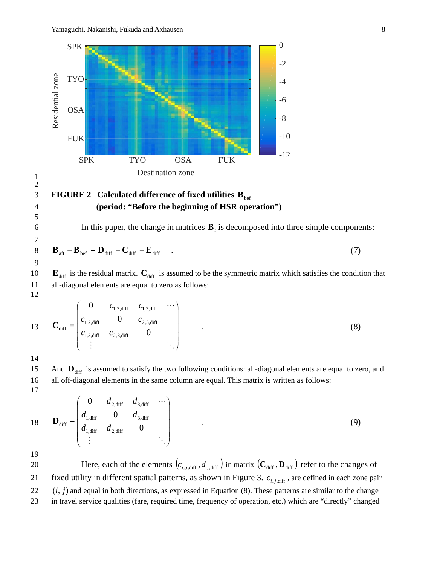

### **FIGURE 2 Calculated difference of fixed utilities**  $B_{\text{bef}}$ 4 **(period: "Before the beginning of HSR operation")**

In this paper, the change in matrices  $\mathbf{B}_s$  is decomposed into three simple components:

$$
\mathbf{B}_{\text{aff}} - \mathbf{B}_{\text{bef}} = \mathbf{D}_{\text{diff}} + \mathbf{C}_{\text{diff}} + \mathbf{E}_{\text{diff}} \quad . \tag{7}
$$

10  $\mathbf{E}_{\text{diff}}$  is the residual matrix.  $\mathbf{C}_{\text{diff}}$  is assumed to be the symmetric matrix which satisfies the condition that 11 all-diagonal elements are equal to zero as follows:

12

1 2

5

7

|    |                              |                                                | $C_{1,2,\text{diff}}$ $C_{1,3,\text{diff}}$ |                       | $\cdots$ |
|----|------------------------------|------------------------------------------------|---------------------------------------------|-----------------------|----------|
| 13 | $\mathbf{C}_{\text{diff}} =$ | $c_{1,2,\text{diff}}$                          |                                             | $c_{2,3,\text{diff}}$ |          |
|    |                              | $\overline{c}$<br>$\epsilon_{1,3,\text{diff}}$ | $c_{2,3,\text{diff}}$                       |                       |          |
|    |                              | $\bullet$                                      |                                             |                       |          |

14

15 And  $\mathbf{D}_{\text{diff}}$  is assumed to satisfy the two following conditions: all-diagonal elements are equal to zero, and 16 all off-diagonal elements in the same column are equal. This matrix is written as follows: 17

18 
$$
\mathbf{D}_{\text{diff}} = \begin{pmatrix} 0 & d_{2,\text{diff}} & d_{3,\text{diff}} & \cdots \\ d_{1,\text{diff}} & 0 & d_{3,\text{diff}} \\ d_{1,\text{diff}} & d_{2,\text{diff}} & 0 \\ \vdots & \vdots & \ddots \end{pmatrix}
$$
 (9)

19

Here, each of the elements  $(c_{i,j,\text{diff}}, d_{j,\text{diff}})$  in matrix  $(\mathbf{C}_{\text{diff}}, \mathbf{D}_{\text{diff}})$  refer to the changes of fixed utility in different spatial patterns, as shown in Figure 3.  $c_{i,i,\text{diff}}$ , are defined in each zone pair  $22$   $(i, j)$  and equal in both directions, as expressed in Equation (8). These patterns are similar to the change 23 in travel service qualities (fare, required time, frequency of operation, etc.) which are "directly" changed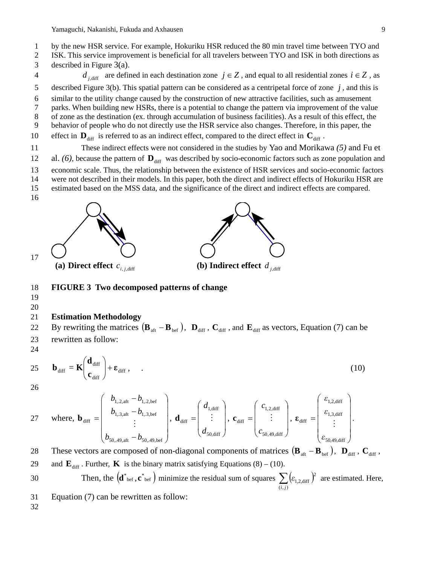- 2 ISK. This service improvement is beneficial for all travelers between TYO and ISK in both directions as 3 described in Figure 3(a).
- 4 *d*  $i_{\text{diff}}$  are defined in each destination zone  $j \in Z$ , and equal to all residential zones  $i \in Z$ , as 5 described Figure 3(b). This spatial pattern can be considered as a centripetal force of zone *j* , and this is 6 similar to the utility change caused by the construction of new attractive facilities, such as amusement 7 parks. When building new HSRs, there is a potential to change the pattern via improvement of the value 8 of zone as the destination (ex. through accumulation of business facilities). As a result of this effect, the
- 9 behavior of people who do not directly use the HSR service also changes. Therefore, in this paper, the
- 10 effect in  $\mathbf{D}_{\text{diff}}$  is referred to as an indirect effect, compared to the direct effect in  $\mathbf{C}_{\text{diff}}$ .
- 11 These indirect effects were not considered in the studies by Yao and Morikawa *(5)* and Fu et
- 12 al.  $(6)$ , because the pattern of  $\mathbf{D}_{\text{diff}}$  was described by socio-economic factors such as zone population and
- 13 economic scale. Thus, the relationship between the existence of HSR services and socio-economic factors
- 14 were not described in their models. In this paper, both the direct and indirect effects of Hokuriku HSR are
- 15 estimated based on the MSS data, and the significance of the direct and indirect effects are compared.
- 16





### **(a) Direct effect**  $c_{i,i,diff}$  **(b) Indirect effect**  $d_{i,diff}$

#### 18 **FIGURE 3 Two decomposed patterns of change**

19

17

### 20

#### 21 **Estimation Methodology**

By rewriting the matrices  $(\mathbf{B}_{\text{aft}} - \mathbf{B}_{\text{bef}})$ ,  $\mathbf{D}_{\text{diff}}$ ,  $\mathbf{C}_{\text{diff}}$ , and  $\mathbf{E}_{\text{diff}}$  as vectors, Equation (7) can be 23 rewritten as follow:

24

$$
25 \t \mathbf{b}_{\text{diff}} = \mathbf{K} \begin{pmatrix} \mathbf{d}_{\text{diff}} \\ \mathbf{c}_{\text{diff}} \end{pmatrix} + \boldsymbol{\epsilon}_{\text{diff}} \,, \tag{10}
$$

26

27 where, 
$$
\mathbf{b}_{\text{diff}} = \begin{pmatrix} b_{1,2,\text{aff}} - b_{1,2,\text{bef}} \\ b_{1,3,\text{aff}} - b_{1,3,\text{bef}} \\ \vdots \\ b_{50,49,\text{aff}} - b_{50,49,\text{bef}} \end{pmatrix}
$$
,  $\mathbf{d}_{\text{diff}} = \begin{pmatrix} d_{1,\text{diff}} \\ \vdots \\ d_{50,\text{diff}} \end{pmatrix}$ ,  $\mathbf{c}_{\text{diff}} = \begin{pmatrix} c_{1,2,\text{diff}} \\ \vdots \\ c_{50,49,\text{diff}} \end{pmatrix}$ ,  $\boldsymbol{\epsilon}_{\text{diff}} = \begin{pmatrix} \varepsilon_{1,2,\text{diff}} \\ \varepsilon_{1,3,\text{diff}} \\ \vdots \\ \varepsilon_{50,49,\text{diff}} \end{pmatrix}$ .

These vectors are composed of non-diagonal components of matrices  $(\mathbf{B}_{\text{af}} - \mathbf{B}_{\text{bef}})$ ,  $\mathbf{D}_{\text{diff}}$ ,  $\mathbf{C}_{\text{diff}}$ , 29 and  $\mathbf{E}_{\text{diff}}$ . Further, **K** is the binary matrix satisfying Equations (8) – (10).

30 Then, the 
$$
(\mathbf{d}^*_{\text{bef}}, \mathbf{c}^*_{\text{bef}})
$$
 minimize the residual sum of squares  $\sum_{(i,j)} (\varepsilon_{1,2,\text{diff}})^2$  are estimated. Here,

- 31 Equation (7) can be rewritten as follow:
- 32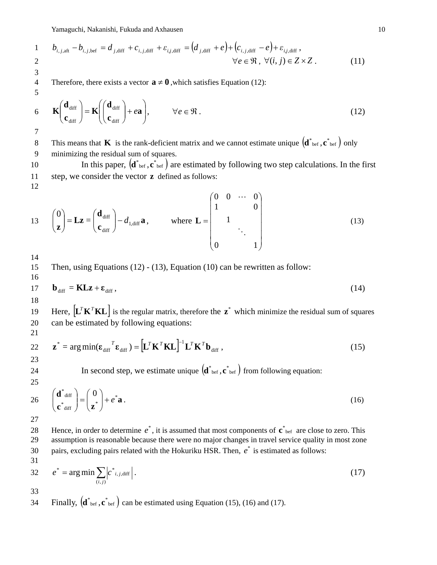Yamaguchi, Nakanishi, Fukuda and Axhausen 10

1 
$$
b_{i,j,\text{aff}} - b_{i,j,\text{bef}} = d_{j,\text{diff}} + c_{i,j,\text{diff}} + \varepsilon_{i,j,\text{diff}} = (d_{j,\text{diff}} + e) + (c_{i,j,\text{diff}} - e) + \varepsilon_{i,j,\text{diff}},
$$
  
2 
$$
\forall e \in \mathfrak{R}, \forall (i,j) \in Z \times Z. \tag{11}
$$

4 Therefore, there exists a vector  $\mathbf{a} \neq \mathbf{0}$ , which satisfies Equation (12):

$$
\mathbf{K}\left(\begin{array}{c}\mathbf{d}_{\text{diff}}\\ \mathbf{c}_{\text{diff}}\end{array}\right)=\mathbf{K}\left(\left(\begin{array}{c}\mathbf{d}_{\text{diff}}\\ \mathbf{c}_{\text{diff}}\end{array}\right)+e\mathbf{a}\right),\qquad\forall e\in\mathfrak{R}\,.
$$
\n(12)

7

12

3

5

This means that **K** is the rank-deficient matrix and we cannot estimate unique  $(d^*_{\text{bef}}, c^*_{\text{bef}})$  only 9 minimizing the residual sum of squares.

10 In this paper,  $(d^*_{\text{bef}}, c^*_{\text{bef}})$  are estimated by following two step calculations. In the first 11 step, we consider the vector **z** defined as follows:

13 
$$
\begin{pmatrix} 0 \\ z \end{pmatrix} = \mathbf{L}z = \begin{pmatrix} \mathbf{d}_{\text{diff}} \\ \mathbf{c}_{\text{diff}} \end{pmatrix} - d_{1,\text{diff}} \mathbf{a}, \quad \text{where } \mathbf{L} = \begin{pmatrix} 0 & 0 & \cdots & 0 \\ 1 & & & 0 \\ & 1 & & \\ & & \ddots & \\ 0 & & & 1 \end{pmatrix}
$$
 (13)

14

16

15 Then, using Equations (12) - (13), Equation (10) can be rewritten as follow:

$$
17 \tb_{diff} = KLz + \varepsilon_{diff}, \t(14)
$$

18

Here,  $\left[\mathbf{L}^T \mathbf{K}^T \mathbf{K} \mathbf{L}\right]$  is the regular matrix, therefore the  $\mathbf{z}^*$  which minimize the residual sum of squares 20 can be estimated by following equations:

$$
\overline{2}
$$

21

 $\left[ \mathbf{L}^T \mathbf{K}^T \mathbf{K} \mathbf{L} \right]^{-1} \mathbf{L}^T \mathbf{K}^T \mathbf{b}_{\text{diff}}$  $z^* = \arg \min(\varepsilon_{\text{diff}}^T \varepsilon_{\text{diff}}) = \left[ \mathbf{L}^T \mathbf{K}^T \mathbf{K} \mathbf{L} \right]^{-1} \mathbf{L}^T \mathbf{K}^T \mathbf{b}_{\text{diff}} ,$  (15) 23

24 In second step, we estimate unique  $(\mathbf{d}^*_{\text{bef}}, \mathbf{c}^*_{\text{bef}})$  from following equation:

25

**a**  $\mathbf{c}^*$ <sub>diff</sub>  $\int$   $\mathbf{z}$  $\textbf{d}^*$  diff  $\bigcap_{n=0}^{\infty}$   $\begin{pmatrix} 0 & 0 \end{pmatrix}$  $\mathbf{z}^*$ <sub>diff</sub>  $\mathbf{z}^*$  $\binom{*}{\text{diff}}$   $\binom{0}{}$  $+ e$ J  $\backslash$  $\overline{\phantom{a}}$  $=$  $\left($ J  $\backslash$  $\overline{\phantom{a}}$  $\setminus$ ſ 26  $\begin{vmatrix} 4 & \text{nm} \\ \text{m} \end{vmatrix} = \begin{vmatrix} 2 \\ \text{m} \end{vmatrix} + e^{\mathbf{\hat{i}}} \mathbf{a}.$  (16)

27

28 Hence, in order to determine  $e^*$ , it is assumed that most components of  $\mathbf{c}^*$ <sub>bef</sub> are close to zero. This 29 assumption is reasonable because there were no major changes in travel service quality in most zone 30 pairs, excluding pairs related with the Hokuriku HSR. Then,  $e^*$  is estimated as follows:

31  
32 
$$
e^* = \arg \min \sum_{(i,j)} \left| c^*_{i,j,\text{diff}} \right|.
$$
 (17)

33

34 Finally,  $(\mathbf{d}^*_{\text{bef}}, \mathbf{c}^*_{\text{bef}})$  can be estimated using Equation (15), (16) and (17).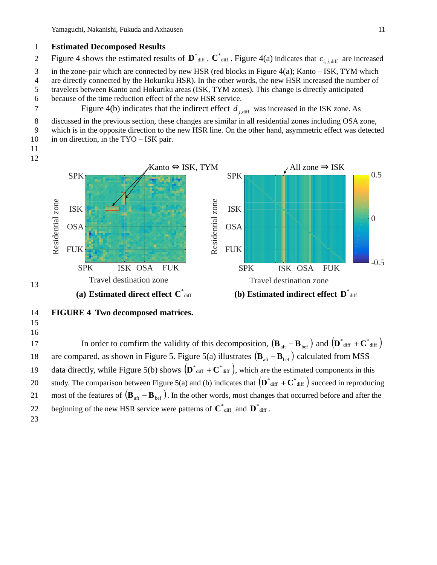### 1 **Estimated Decomposed Results**

- Figure 4 shows the estimated results of  $\mathbf{D}^*$  diff.  $\mathbf{C}^*$  diff. Figure 4(a) indicates that  $c_{i,j,\text{diff}}$  are increased
- 3 in the zone-pair which are connected by new HSR (red blocks in Figure 4(a); Kanto ISK, TYM which
- 4 are directly connected by the Hokuriku HSR). In the other words, the new HSR increased the number of
- 5 travelers between Kanto and Hokuriku areas (ISK, TYM zones). This change is directly anticipated
- 6 because of the time reduction effect of the new HSR service.
- Figure 4(b) indicates that the indirect effect  $d_{i,diff}$  was increased in the ISK zone. As

8 discussed in the previous section, these changes are similar in all residential zones including OSA zone,

- 9 which is in the opposite direction to the new HSR line. On the other hand, asymmetric effect was detected 10 in on direction, in the TYO – ISK pair.
- 11





### 14 **FIGURE 4 Two decomposed matrices.**

15 16

13

In order to comfirm the validity of this decomposition,  $(\mathbf{B}_{\text{af}} - \mathbf{B}_{\text{bef}})$  and  $(\mathbf{D}^*_{\text{diff}} + \mathbf{C}^*_{\text{diff}})$ are compared, as shown in Figure 5. Figure 5(a) illustrates  $(\mathbf{B}_{\text{af}} - \mathbf{B}_{\text{bef}})$  calculated from MSS 19 data directly, while Figure 5(b) shows  $(D^*_{diff} + C^*_{diff})$ , which are the estimated components in this 20 study. The comparison between Figure 5(a) and (b) indicates that  $(D^*_{\text{diff}} + C^*_{\text{diff}})$  succeed in reproducing 21 most of the features of  $(B_{\text{af}} - B_{\text{bef}})$ . In the other words, most changes that occurred before and after the 22 beginning of the new HSR service were patterns of  $\mathbf{C}^*$  diff and  $\mathbf{D}^*$  diff. 23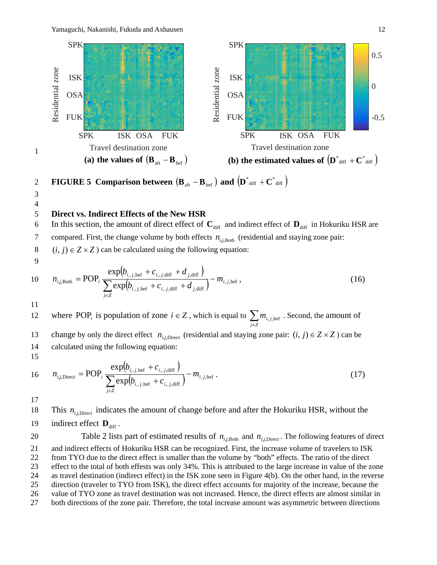

**FIGURE 5 Comparison between**  $(\mathbf{B}_{\text{aft}} - \mathbf{B}_{\text{bef}})$  and  $(\mathbf{D}^*_{\text{diff}} + \mathbf{C}^*_{\text{diff}})$ 

3 4

1

### 5 **Direct vs. Indirect Effects of the New HSR**

6 In this section, the amount of direct effect of  $C_{\text{diff}}$  and indirect effect of  $D_{\text{diff}}$  in Hokuriku HSR are 7 compared. First, the change volume by both effects  $n_{i,j,\text{Both}}$  (residential and staying zone pair: 8 (*i*, *j*)  $\in$  *Z*  $\times$  *Z*) can be calculated using the following equation:

9

10 
$$
n_{i,j,\text{Both}} = \text{POP}_i \frac{\exp(b_{i,j,\text{bef}} + c_{i,j,\text{diff}} + d_{j,\text{diff}})}{\sum_{j \in Z} \exp(b_{i,j,\text{bef}} + c_{i,j,\text{diff}} + d_{j,\text{diff}})} - m_{i,j,\text{bef}} ,
$$
 (16)

11

where POP<sub>*i*</sub> is population of zone *i* ∈ *Z*, which is equal to  $\sum_{j \in \mathbb{Z}}$ 12 where POP<sub>i</sub> is population of zone  $i \in Z$ , which is equal to  $\sum m_{i,j,\text{bef}}$ . Second, the amount of change by only the direct effect  $n_{i,j,\text{Direct}}$  (residential and staying zone pair:  $(i, j) \in Z \times Z$ ) can be 14 calculated using the following equation: 15

16 
$$
n_{i,j,\text{Direct}} = \text{POP}_i \frac{\exp(b_{i,j,\text{bef}} + c_{i,j,\text{diff}})}{\sum_{j \in \mathbb{Z}} \exp(b_{i,j,\text{bef}} + c_{i,j,\text{diff}})} - m_{i,j,\text{bef}}.
$$
 (17)

17

18 This  $n_{i,j}$ , indicates the amount of change before and after the Hokuriku HSR, without the 19 indirect effect  $\mathbf{D}_{\text{diff}}$ .

Table 2 lists part of estimated results of  $n_{i,i,b}$  and  $n_{i,j,b}$  . The following features of direct and indirect effects of Hokuriku HSR can be recognized. First, the increase volume of travelers to ISK from TYO due to the direct effect is smaller than the volume by "both" effects. The ratio of the direct effect to the total of both effests was only 34%. This is attributed to the large increase in value of the zone as travel destination (indirect effect) in the ISK zone seen in Figure 4(b). On the other hand, in the reverse direction (traveler to TYO from ISK), the direct effect accounts for majority of the increase, because the value of TYO zone as travel destination was not increased. Hence, the direct effects are almost similar in

27 both directions of the zone pair. Therefore, the total increase amount was asymmetric between directions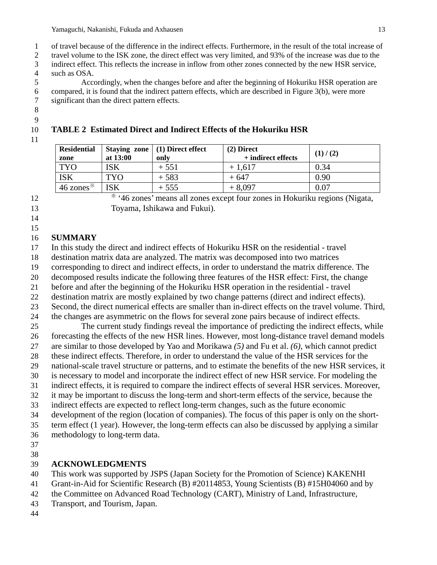of travel because of the difference in the indirect effects. Furthermore, in the result of the total increase of

travel volume to the ISK zone, the direct effect was very limited, and 93% of the increase was due to the

 indirect effect. This reflects the increase in inflow from other zones connected by the new HSR service, 4 such as OSA.<br>5 Acco

 Accordingly, when the changes before and after the beginning of Hokuriku HSR operation are compared, it is found that the indirect pattern effects, which are described in Figure 3(b), were more significant than the direct pattern effects.

- 
- 

### **TABLE 2 Estimated Direct and Indirect Effects of the Hokuriku HSR**

| <b>Residential</b><br>zone | at 13:00 | Staying zone $(1)$ Direct effect<br>only | $(2)$ Direct<br>+ indirect effects | (1) / (2) |
|----------------------------|----------|------------------------------------------|------------------------------------|-----------|
| TYO.                       | ISK      | $+551$                                   | $+1,617$                           | 0.34      |
| <b>ISK</b>                 | TYO      | $+583$                                   | $+647$                             | 0.90      |

 $46 \text{ zones}^*$  | ISK + 555 + 8,097 0.07

※ '46 zones' means all zones except four zones in Hokuriku regions (Nigata, Toyama, Ishikawa and Fukui).

 

### **SUMMARY**

In this study the direct and indirect effects of Hokuriku HSR on the residential - travel

- destination matrix data are analyzed. The matrix was decomposed into two matrices
- corresponding to direct and indirect effects, in order to understand the matrix difference. The
- decomposed results indicate the following three features of the HSR effect: First, the change
- before and after the beginning of the Hokuriku HSR operation in the residential travel
- destination matrix are mostly explained by two change patterns (direct and indirect effects).
- Second, the direct numerical effects are smaller than in-direct effects on the travel volume. Third, the changes are asymmetric on the flows for several zone pairs because of indirect effects.
- The current study findings reveal the importance of predicting the indirect effects, while forecasting the effects of the new HSR lines. However, most long-distance travel demand models are similar to those developed by Yao and Morikawa *(5)* and Fu et al. *(6)*, which cannot predict these indirect effects. Therefore, in order to understand the value of the HSR services for the national-scale travel structure or patterns, and to estimate the benefits of the new HSR services, it
- is necessary to model and incorporate the indirect effect of new HSR service. For modeling the indirect effects, it is required to compare the indirect effects of several HSR services. Moreover,
- it may be important to discuss the long-term and short-term effects of the service, because the
- indirect effects are expected to reflect long-term changes, such as the future economic
- development of the region (location of companies). The focus of this paper is only on the short-
- term effect (1 year). However, the long-term effects can also be discussed by applying a similar
- methodology to long-term data.
- 
- 

### **ACKNOWLEDGMENTS**

This work was supported by JSPS (Japan Society for the Promotion of Science) KAKENHI

- Grant-in-Aid for Scientific Research (B) #20114853, Young Scientists (B) #15H04060 and by
- the Committee on Advanced Road Technology (CART), Ministry of Land, Infrastructure,
- Transport, and Tourism, Japan.
-